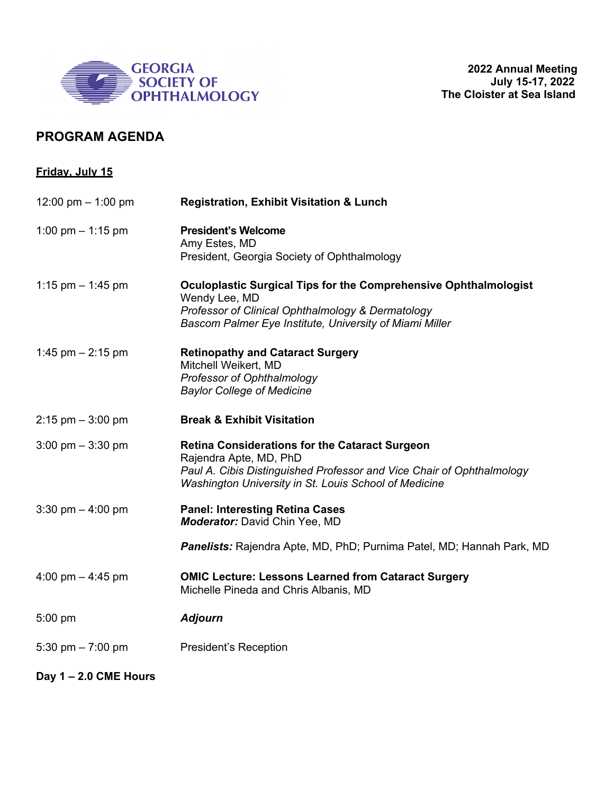

## **PROGRAM AGENDA**

| <b>Friday, July 15</b>              |                                                                                                                                                                                                                   |
|-------------------------------------|-------------------------------------------------------------------------------------------------------------------------------------------------------------------------------------------------------------------|
| 12:00 pm $-$ 1:00 pm                | <b>Registration, Exhibit Visitation &amp; Lunch</b>                                                                                                                                                               |
| 1:00 pm $-$ 1:15 pm                 | <b>President's Welcome</b><br>Amy Estes, MD<br>President, Georgia Society of Ophthalmology                                                                                                                        |
| 1:15 pm $-$ 1:45 pm                 | <b>Oculoplastic Surgical Tips for the Comprehensive Ophthalmologist</b><br>Wendy Lee, MD<br>Professor of Clinical Ophthalmology & Dermatology<br>Bascom Palmer Eye Institute, University of Miami Miller          |
| 1:45 pm $- 2:15$ pm                 | <b>Retinopathy and Cataract Surgery</b><br>Mitchell Weikert, MD<br>Professor of Ophthalmology<br><b>Baylor College of Medicine</b>                                                                                |
| $2:15$ pm $-3:00$ pm                | <b>Break &amp; Exhibit Visitation</b>                                                                                                                                                                             |
| $3:00 \text{ pm} - 3:30 \text{ pm}$ | <b>Retina Considerations for the Cataract Surgeon</b><br>Rajendra Apte, MD, PhD<br>Paul A. Cibis Distinguished Professor and Vice Chair of Ophthalmology<br>Washington University in St. Louis School of Medicine |
| 3:30 pm $-$ 4:00 pm                 | <b>Panel: Interesting Retina Cases</b><br>Moderator: David Chin Yee, MD                                                                                                                                           |
|                                     | Panelists: Rajendra Apte, MD, PhD; Purnima Patel, MD; Hannah Park, MD                                                                                                                                             |
| 4:00 pm $-$ 4:45 pm                 | <b>OMIC Lecture: Lessons Learned from Cataract Surgery</b><br>Michelle Pineda and Chris Albanis, MD                                                                                                               |
| $5:00$ pm                           | <b>Adjourn</b>                                                                                                                                                                                                    |
| 5:30 pm $- 7:00$ pm                 | <b>President's Reception</b>                                                                                                                                                                                      |
| Day $1 - 2.0$ CME Hours             |                                                                                                                                                                                                                   |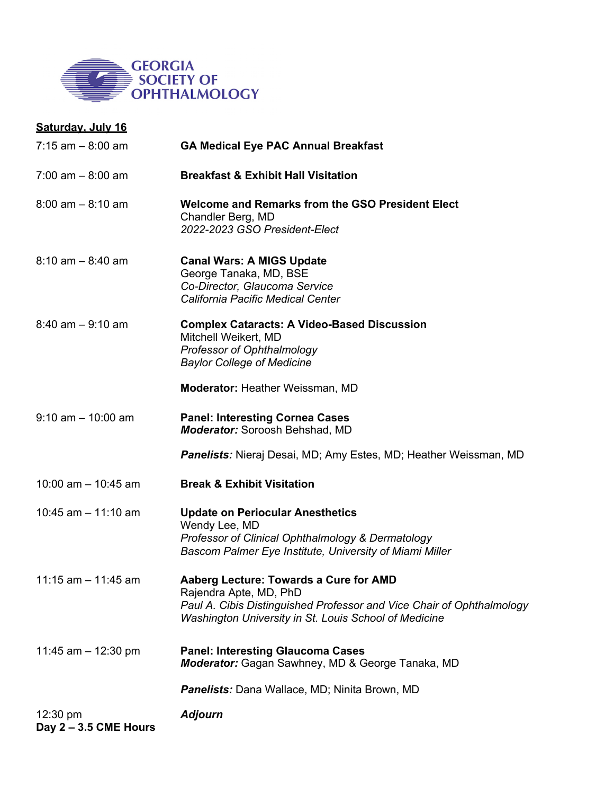

| Saturday. July 16                 |                                                                                                                                                                                                    |
|-----------------------------------|----------------------------------------------------------------------------------------------------------------------------------------------------------------------------------------------------|
| $7:15$ am $-8:00$ am              | <b>GA Medical Eye PAC Annual Breakfast</b>                                                                                                                                                         |
| $7:00$ am $-8:00$ am              | <b>Breakfast &amp; Exhibit Hall Visitation</b>                                                                                                                                                     |
| $8:00$ am $-8:10$ am              | Welcome and Remarks from the GSO President Elect<br>Chandler Berg, MD<br>2022-2023 GSO President-Elect                                                                                             |
| $8:10$ am $-8:40$ am              | <b>Canal Wars: A MIGS Update</b><br>George Tanaka, MD, BSE<br>Co-Director, Glaucoma Service<br>California Pacific Medical Center                                                                   |
| $8:40$ am $-9:10$ am              | <b>Complex Cataracts: A Video-Based Discussion</b><br>Mitchell Weikert, MD<br>Professor of Ophthalmology<br><b>Baylor College of Medicine</b>                                                      |
|                                   | <b>Moderator: Heather Weissman, MD</b>                                                                                                                                                             |
| $9:10$ am $-10:00$ am             | <b>Panel: Interesting Cornea Cases</b><br><b>Moderator:</b> Soroosh Behshad, MD                                                                                                                    |
|                                   | <b>Panelists:</b> Nieraj Desai, MD; Amy Estes, MD; Heather Weissman, MD                                                                                                                            |
| 10:00 am $-$ 10:45 am             | <b>Break &amp; Exhibit Visitation</b>                                                                                                                                                              |
| 10:45 $am - 11:10$ am             | <b>Update on Periocular Anesthetics</b><br>Wendy Lee, MD<br>Professor of Clinical Ophthalmology & Dermatology<br>Bascom Palmer Eye Institute, University of Miami Miller                           |
| 11:15 am $-$ 11:45 am             | Aaberg Lecture: Towards a Cure for AMD<br>Rajendra Apte, MD, PhD<br>Paul A. Cibis Distinguished Professor and Vice Chair of Ophthalmology<br>Washington University in St. Louis School of Medicine |
| 11:45 am $-$ 12:30 pm             | <b>Panel: Interesting Glaucoma Cases</b><br>Moderator: Gagan Sawhney, MD & George Tanaka, MD                                                                                                       |
|                                   | <b>Panelists:</b> Dana Wallace, MD; Ninita Brown, MD                                                                                                                                               |
| 12:30 pm<br>Day 2 - 3.5 CME Hours | <b>Adjourn</b>                                                                                                                                                                                     |